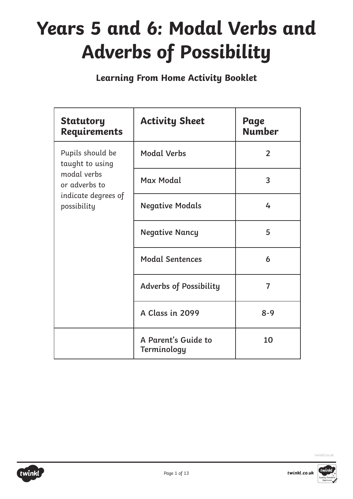# **Years 5 and 6: Modal Verbs and Adverbs of Possibility**

**Learning From Home Activity Booklet**

| <b>Statutory</b><br>Requirements                                   | <b>Activity Sheet</b>              | Page<br><b>Number</b> |
|--------------------------------------------------------------------|------------------------------------|-----------------------|
| Pupils should be<br>taught to using                                | <b>Modal Verbs</b>                 | 2                     |
| modal verbs<br>or adverbs to<br>indicate degrees of<br>possibility | <b>Max Modal</b>                   | 3                     |
|                                                                    | <b>Negative Modals</b>             | 4                     |
|                                                                    | <b>Negative Nancy</b>              | 5                     |
|                                                                    | <b>Modal Sentences</b>             | 6                     |
| <b>Adverbs of Possibility</b>                                      |                                    | $\overline{7}$        |
|                                                                    | A Class in 2099                    | $8 - 9$               |
|                                                                    | A Parent's Guide to<br>Terminology | 10                    |

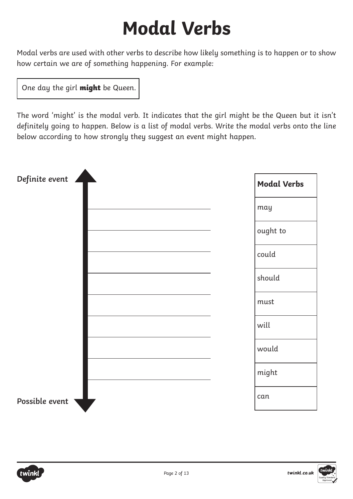## **Modal Verbs**

Modal verbs are used with other verbs to describe how likely something is to happen or to show how certain we are of something happening. For example:

One day the girl **might** be Queen.

The word 'might' is the modal verb. It indicates that the girl might be the Queen but it isn't definitely going to happen. Below is a list of modal verbs. Write the modal verbs onto the line below according to how strongly they suggest an event might happen.

| Definite event |  | <b>Modal Verbs</b> |
|----------------|--|--------------------|
|                |  | may                |
|                |  | ought to           |
|                |  | could              |
|                |  | should             |
|                |  | must               |
|                |  | will               |
|                |  | would              |
|                |  | might              |
| Possible event |  | can                |

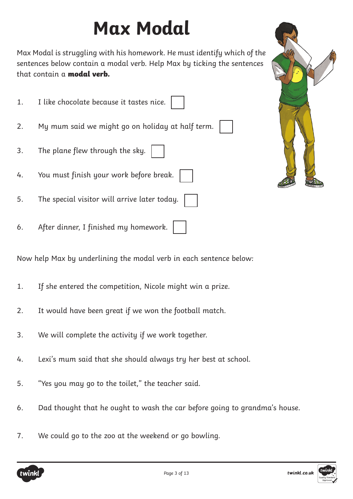## **Max Modal**

Max Modal is struggling with his homework. He must identify which of the sentences below contain a modal verb. Help Max by ticking the sentences that contain a **modal verb.**

1. I like chocolate because it tastes nice.

2. My mum said we might go on holiday at half term.

- 3. The plane flew through the sky.
- 4. You must finish your work before break.
- 5. The special visitor will arrive later today.
- 6. After dinner, I finished my homework.

Now help Max by underlining the modal verb in each sentence below:

- 1. If she entered the competition, Nicole might win a prize.
- 2. It would have been great if we won the football match.
- 3. We will complete the activity if we work together.
- 4. Lexi's mum said that she should always try her best at school.
- 5. "Yes you may go to the toilet," the teacher said.
- 6. Dad thought that he ought to wash the car before going to grandma's house.
- 7. We could go to the zoo at the weekend or go bowling.



twink



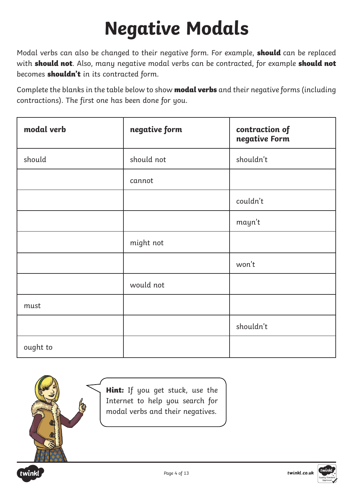# **Negative Modals**

Modal verbs can also be changed to their negative form. For example, **should** can be replaced with **should not**. Also, many negative modal verbs can be contracted, for example **should not** becomes **shouldn't** in its contracted form.

Complete the blanks in the table below to show **modal verbs** and their negative forms (including contractions). The first one has been done for you.

| modal verb | negative form | contraction of<br>negative Form |
|------------|---------------|---------------------------------|
| should     | should not    | shouldn't                       |
|            | cannot        |                                 |
|            |               | couldn't                        |
|            |               | mayn't                          |
|            | might not     |                                 |
|            |               | won't                           |
|            | would not     |                                 |
| must       |               |                                 |
|            |               | shouldn't                       |
| ought to   |               |                                 |



**Hint:** If you get stuck, use the Internet to help you search for modal verbs and their negatives.



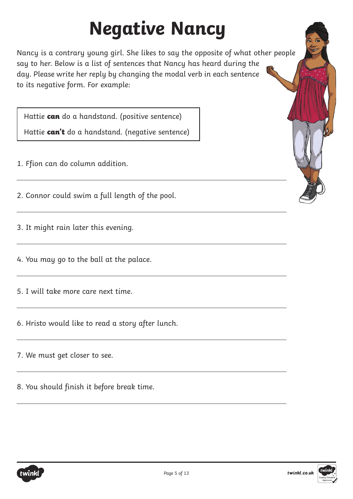# **Negative Nancy**

Nancy is a contrary young girl. She likes to say the opposite of what other people say to her. Below is a list of sentences that Nancy has heard during the day. Please write her reply by changing the modal verb in each sentence to its negative form. For example:

Hattie **can** do a handstand. (positive sentence)

Hattie **can't** do a handstand. (negative sentence)

1. Ffion can do column addition.

2. Connor could swim a full length of the pool.

3. It might rain later this evening.

4. You may go to the ball at the palace.

5. I will take more care next time.

6. Hristo would like to read a story after lunch.

7. We must get closer to see.

8. You should finish it before break time.



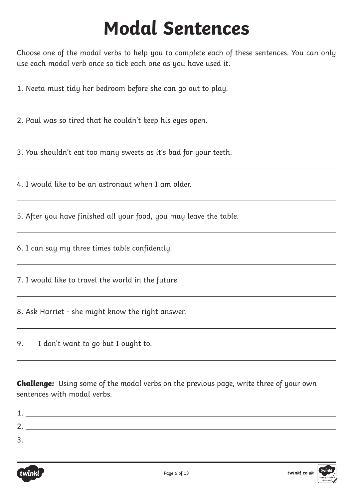## **Modal Sentences**

Choose one of the modal verbs to help you to complete each of these sentences. You can only use each modal verb once so tick each one as you have used it.

1. Neeta must tidy her bedroom before she can go out to play.

2. Paul was so tired that he couldn't keep his eyes open.

3. You shouldn't eat too many sweets as it's bad for your teeth.

4. I would like to be an astronaut when I am older.

5. After you have finished all your food, you may leave the table.

6. I can say my three times table confidently.

7. I would like to travel the world in the future.

8. Ask Harriet - she might know the right answer.

9. I don't want to go but I ought to.

**Challenge:** Using some of the modal verbs on the previous page, write three of your own sentences with modal verbs.

| _ |  |
|---|--|
|   |  |
|   |  |



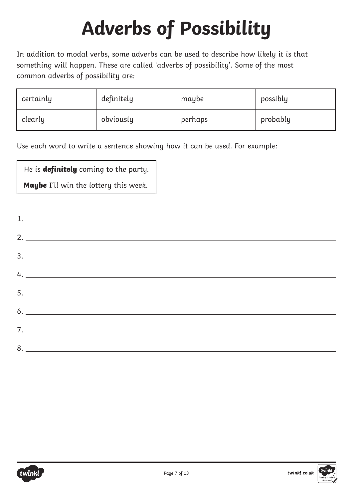# **Adverbs of Possibility**

In addition to modal verbs, some adverbs can be used to describe how likely it is that something will happen. These are called 'adverbs of possibility'. Some of the most common adverbs of possibility are:

| certainly | definitely | maybe   | possibly |
|-----------|------------|---------|----------|
| clearly   | obviously  | perhaps | probably |

Use each word to write a sentence showing how it can be used. For example:

 He is **definitely** coming to the party.  **Maybe** I'll win the lottery this week.

| $1.$ $\overline{\phantom{a}}$ |
|-------------------------------|
|                               |
|                               |
|                               |
| $4. \_$                       |
|                               |
| $6.$ $\overline{\phantom{a}}$ |
| 7.                            |
|                               |
|                               |

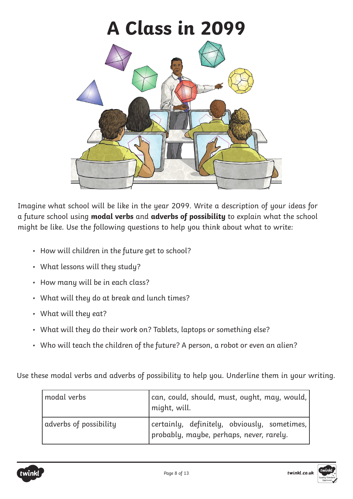### **A Class in 2099**



Imagine what school will be like in the year 2099. Write a description of your ideas for a future school using **modal verbs** and **adverbs of possibility** to explain what the school might be like. Use the following questions to help you think about what to write:

- How will children in the future get to school?
- What lessons will they study?
- How many will be in each class?
- What will they do at break and lunch times?
- What will they eat?
- What will they do their work on? Tablets, laptops or something else?
- Who will teach the children of the future? A person, a robot or even an alien?

Use these modal verbs and adverbs of possibility to help you. Underline them in your writing.

| modal verbs            | can, could, should, must, ought, may, would,<br>$\vert$ might, will.                     |
|------------------------|------------------------------------------------------------------------------------------|
| adverbs of possibility | certainly, definitely, obviously, sometimes,<br>probably, maybe, perhaps, never, rarely. |



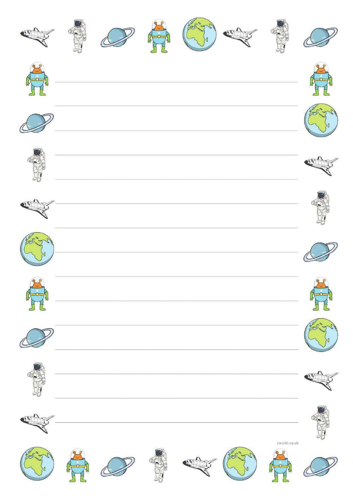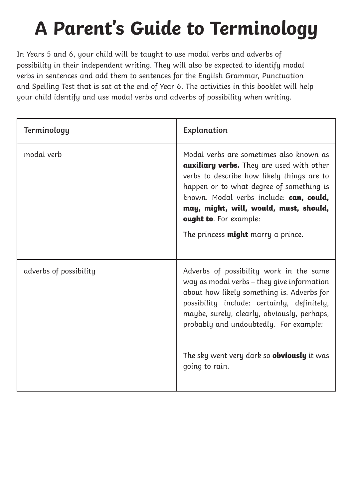# **A Parent's Guide to Terminology**

In Years 5 and 6, your child will be taught to use modal verbs and adverbs of possibility in their independent writing. They will also be expected to identify modal verbs in sentences and add them to sentences for the English Grammar, Punctuation and Spelling Test that is sat at the end of Year 6. The activities in this booklet will help your child identify and use modal verbs and adverbs of possibility when writing.

| Terminology            | Explanation                                                                                                                                                                                                                                                                                                                                        |
|------------------------|----------------------------------------------------------------------------------------------------------------------------------------------------------------------------------------------------------------------------------------------------------------------------------------------------------------------------------------------------|
| modal verb             | Modal verbs are sometimes also known as<br><b>auxiliary verbs.</b> They are used with other<br>verbs to describe how likely things are to<br>happen or to what degree of something is<br>known. Modal verbs include: can, could,<br>may, might, will, would, must, should,<br>ought to. For example:<br>The princess <b>might</b> marry a prince.  |
| adverbs of possibility | Adverbs of possibility work in the same<br>way as modal verbs – they give information<br>about how likely something is. Adverbs for<br>possibility include: certainly, definitely,<br>maybe, surely, clearly, obviously, perhaps,<br>probably and undoubtedly. For example:<br>The sky went very dark so <b>obviously</b> it was<br>going to rain. |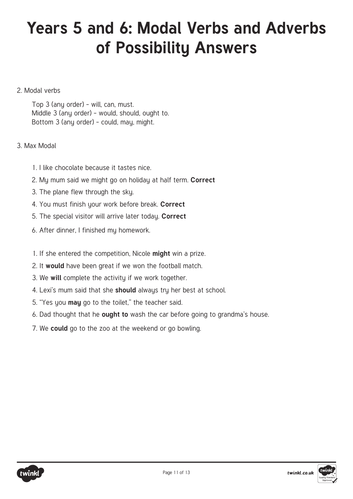### **Years 5 and 6: Modal Verbs and Adverbs of Possibility Answers**

### 2. Modal verbs

 Top 3 (any order) - will, can, must. Middle 3 (any order) - would, should, ought to. Bottom 3 (any order) - could, may, might.

### 3. Max Modal

- 1. I like chocolate because it tastes nice.
- 2. My mum said we might go on holiday at half term. **Correct**
- 3. The plane flew through the sky.
- 4. You must finish your work before break. **Correct**
- 5. The special visitor will arrive later today. **Correct**
- 6. After dinner, I finished my homework.
- 1. If she entered the competition, Nicole **might** win a prize.
- 2. It **would** have been great if we won the football match.
- 3. We **will** complete the activity if we work together.
- 4. Lexi's mum said that she **should** always try her best at school.
- 5. "Yes you **may** go to the toilet," the teacher said.
- 6. Dad thought that he **ought to** wash the car before going to grandma's house.
- 7. We **could** go to the zoo at the weekend or go bowling.



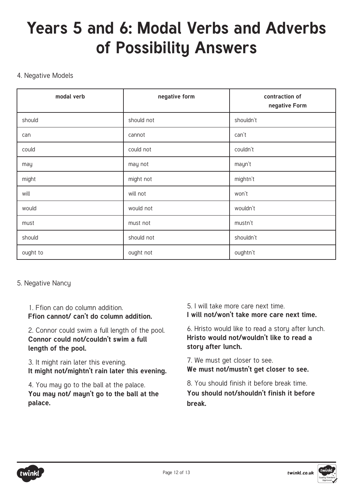### **Years 5 and 6: Modal Verbs and Adverbs of Possibility Answers**

#### 4. Negative Models

| modal verb | negative form | contraction of<br>negative Form |
|------------|---------------|---------------------------------|
| should     | should not    | shouldn't                       |
| can        | cannot        | can't                           |
| could      | could not     | couldn't                        |
| may        | may not       | mayn't                          |
| might      | might not     | mightn't                        |
| will       | will not      | won't                           |
| would      | would not     | wouldn't                        |
| must       | must not      | mustn't                         |
| should     | should not    | shouldn't                       |
| ought to   | ought not     | oughtn't                        |

5. Negative Nancy

1. Ffion can do column addition. **Ffion cannot/ can't do column addition.**

2. Connor could swim a full length of the pool. **Connor could not/couldn't swim a full length of the pool.**

3. It might rain later this evening. **It might not/mightn't rain later this evening.** 

4. You may go to the ball at the palace. **You may not/ mayn't go to the ball at the palace.** 

5. I will take more care next time. **I will not/won't take more care next time.**

6. Hristo would like to read a story after lunch. **Hristo would not/wouldn't like to read a story after lunch.**

7. We must get closer to see. **We must not/mustn't get closer to see.**

8. You should finish it before break time. **You should not/shouldn't finish it before break.**